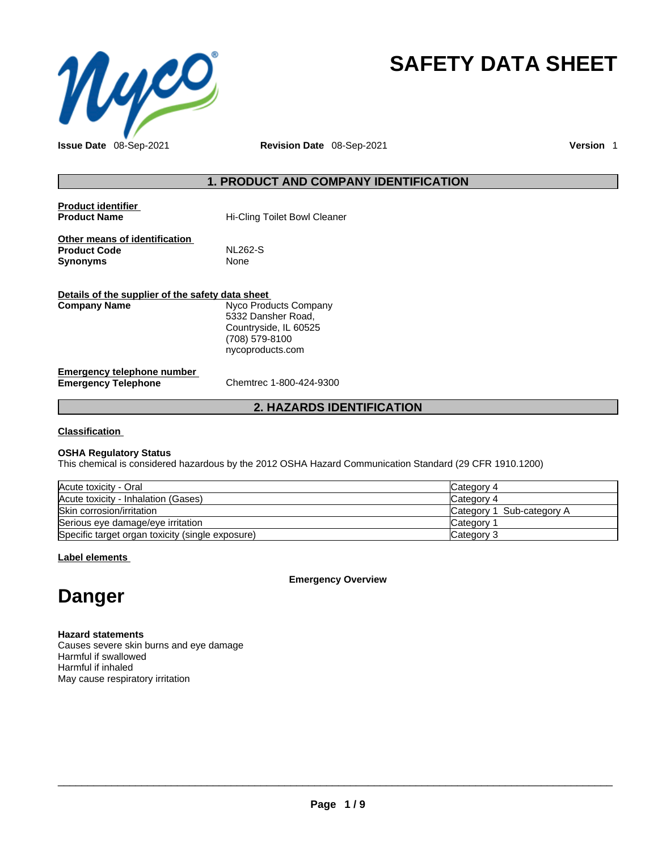

# **SAFETY DATA SHEET**

**Issue Date** 08-Sep-2021 **Revision Date** 08-Sep-2021 **Version** 1

# **1. PRODUCT AND COMPANY IDENTIFICATION**

| <b>Product identifier</b><br><b>Product Name</b>                                                 | <b>Hi-Cling Toilet Bowl Cleaner</b>                                               |  |  |
|--------------------------------------------------------------------------------------------------|-----------------------------------------------------------------------------------|--|--|
| Other means of identification<br><b>Product Code</b><br><b>Synonyms</b>                          | <b>NL262-S</b><br>None                                                            |  |  |
| Details of the supplier of the safety data sheet<br>Nyco Products Company<br><b>Company Name</b> |                                                                                   |  |  |
|                                                                                                  | 5332 Dansher Road,<br>Countryside, IL 60525<br>(708) 579-8100<br>nycoproducts.com |  |  |
| Emergency telephone number<br><b>Emergency Telephone</b>                                         | Chemtrec 1-800-424-9300                                                           |  |  |

# **2. HAZARDS IDENTIFICATION**

#### **Classification**

#### **OSHA Regulatory Status**

This chemical is considered hazardous by the 2012 OSHA Hazard Communication Standard (29 CFR 1910.1200)

| Acute toxicity - Oral                            | Category 4                |
|--------------------------------------------------|---------------------------|
| Acute toxicity - Inhalation (Gases)              | Category 4                |
| Skin corrosion/irritation                        | Category 1 Sub-category A |
| Serious eye damage/eye irritation                | <b>Category</b>           |
| Specific target organ toxicity (single exposure) | Category 3                |

**Label elements**

**Emergency Overview** 

# **Danger**

**Hazard statements** Causes severe skin burns and eye damage Harmful if swallowed Harmful if inhaled

May cause respiratory irritation

 $\_$  ,  $\_$  ,  $\_$  ,  $\_$  ,  $\_$  ,  $\_$  ,  $\_$  ,  $\_$  ,  $\_$  ,  $\_$  ,  $\_$  ,  $\_$  ,  $\_$  ,  $\_$  ,  $\_$  ,  $\_$  ,  $\_$  ,  $\_$  ,  $\_$  ,  $\_$  ,  $\_$  ,  $\_$  ,  $\_$  ,  $\_$  ,  $\_$  ,  $\_$  ,  $\_$  ,  $\_$  ,  $\_$  ,  $\_$  ,  $\_$  ,  $\_$  ,  $\_$  ,  $\_$  ,  $\_$  ,  $\_$  ,  $\_$  ,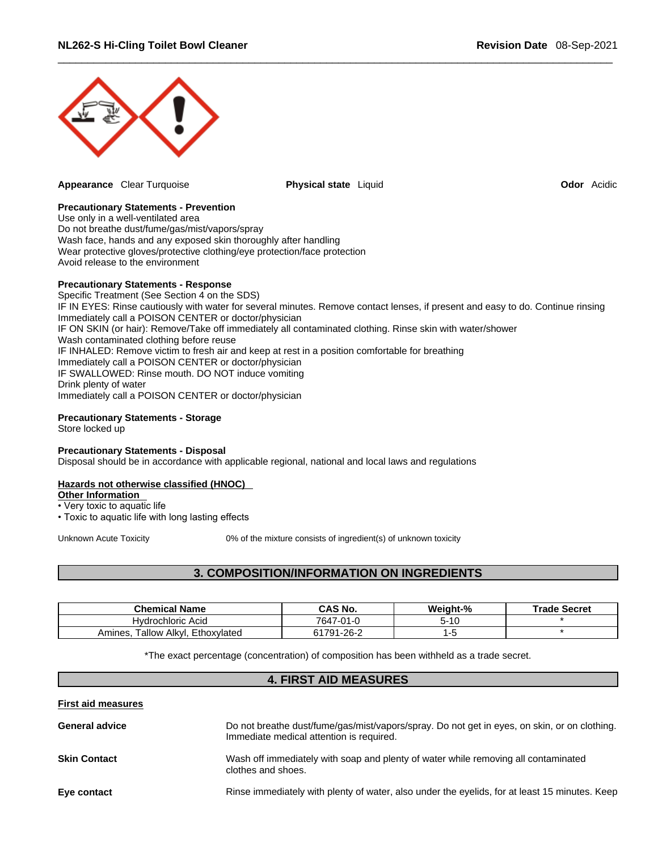

**Appearance** Clear Turquoise **Physical state** Liquid **Odor** Acidic

#### **Precautionary Statements - Prevention**

Use only in a well-ventilated area Do not breathe dust/fume/gas/mist/vapors/spray Wash face, hands and any exposed skin thoroughly after handling Wear protective gloves/protective clothing/eye protection/face protection Avoid release to the environment

#### **Precautionary Statements - Response**

Specific Treatment (See Section 4 on the SDS) IF IN EYES: Rinse cautiously with water for several minutes. Remove contact lenses, if present and easy to do. Continue rinsing Immediately call a POISON CENTER or doctor/physician IF ON SKIN (or hair): Remove/Take off immediately all contaminated clothing. Rinse skin with water/shower Wash contaminated clothing before reuse IF INHALED: Remove victim to fresh air and keep at rest in a position comfortable for breathing Immediately call a POISON CENTER or doctor/physician IF SWALLOWED: Rinse mouth. DO NOT induce vomiting Drink plenty of water Immediately call a POISON CENTER or doctor/physician

#### **Precautionary Statements - Storage**

Store locked up

#### **Precautionary Statements - Disposal**

Disposal should be in accordance with applicable regional, national and local laws and regulations

#### **Hazards not otherwise classified (HNOC)**

**Other Information** 

• Very toxic to aquatic life

• Toxic to aquatic life with long lasting effects

Unknown Acute Toxicity 0% of the mixture consists of ingredient(s) of unknown toxicity

# **3. COMPOSITION/INFORMATION ON INGREDIENTS**

| <b>Chemical Name</b>                     | <b>CAS No.</b>        | Weight-% | Secret<br>™rade |
|------------------------------------------|-----------------------|----------|-----------------|
| Hydrochloric Acid                        | 7647<br>17-01-u       | 5-10     |                 |
| Ethoxylated<br>Alkyl<br>⊺allow<br>Amines | -26-2<br><b>C4704</b> |          |                 |

\*The exact percentage (concentration) of composition has been withheld as a trade secret.

## **4. FIRST AID MEASURES**

**First aid measures**

| <b>General advice</b> | Do not breathe dust/fume/gas/mist/vapors/spray. Do not get in eyes, on skin, or on clothing.<br>Immediate medical attention is required. |
|-----------------------|------------------------------------------------------------------------------------------------------------------------------------------|
| <b>Skin Contact</b>   | Wash off immediately with soap and plenty of water while removing all contaminated<br>clothes and shoes.                                 |
| Eye contact           | Rinse immediately with plenty of water, also under the eyelids, for at least 15 minutes. Keep                                            |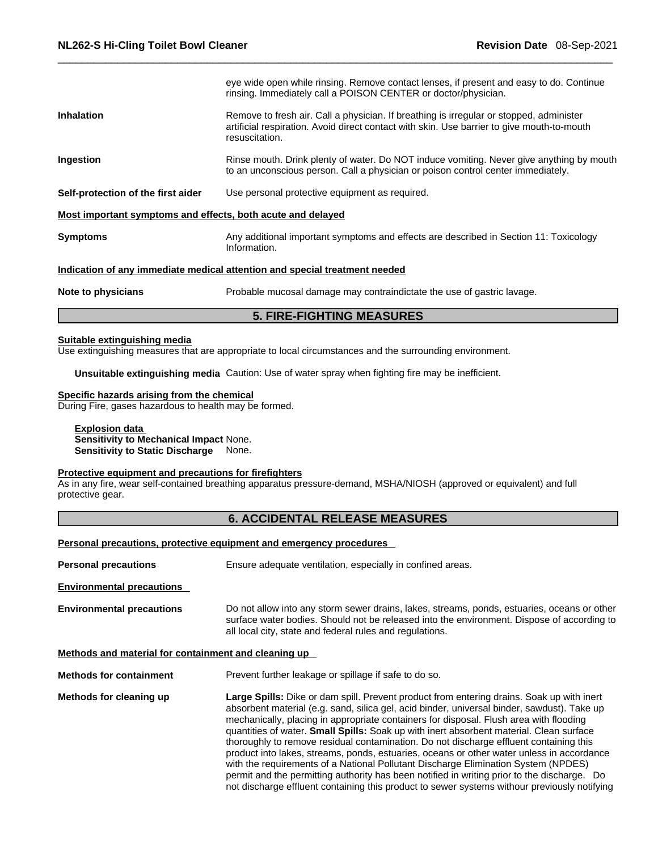| rinsing. Immediately call a POISON CENTER or doctor/physician.<br>Remove to fresh air. Call a physician. If breathing is irregular or stopped, administer<br><b>Inhalation</b><br>artificial respiration. Avoid direct contact with skin. Use barrier to give mouth-to-mouth<br>resuscitation.<br>Ingestion<br>to an unconscious person. Call a physician or poison control center immediately.<br>Self-protection of the first aider<br>Use personal protective equipment as required.<br>Most important symptoms and effects, both acute and delayed<br>Any additional important symptoms and effects are described in Section 11: Toxicology<br><b>Symptoms</b><br>Information.<br>Indication of any immediate medical attention and special treatment needed<br>Probable mucosal damage may contraindictate the use of gastric lavage.<br>Note to physicians | <b>5. FIRE-FIGHTING MEASURES</b>                                                         |
|------------------------------------------------------------------------------------------------------------------------------------------------------------------------------------------------------------------------------------------------------------------------------------------------------------------------------------------------------------------------------------------------------------------------------------------------------------------------------------------------------------------------------------------------------------------------------------------------------------------------------------------------------------------------------------------------------------------------------------------------------------------------------------------------------------------------------------------------------------------|------------------------------------------------------------------------------------------|
|                                                                                                                                                                                                                                                                                                                                                                                                                                                                                                                                                                                                                                                                                                                                                                                                                                                                  |                                                                                          |
|                                                                                                                                                                                                                                                                                                                                                                                                                                                                                                                                                                                                                                                                                                                                                                                                                                                                  |                                                                                          |
|                                                                                                                                                                                                                                                                                                                                                                                                                                                                                                                                                                                                                                                                                                                                                                                                                                                                  |                                                                                          |
|                                                                                                                                                                                                                                                                                                                                                                                                                                                                                                                                                                                                                                                                                                                                                                                                                                                                  |                                                                                          |
|                                                                                                                                                                                                                                                                                                                                                                                                                                                                                                                                                                                                                                                                                                                                                                                                                                                                  |                                                                                          |
|                                                                                                                                                                                                                                                                                                                                                                                                                                                                                                                                                                                                                                                                                                                                                                                                                                                                  | Rinse mouth. Drink plenty of water. Do NOT induce vomiting. Never give anything by mouth |
|                                                                                                                                                                                                                                                                                                                                                                                                                                                                                                                                                                                                                                                                                                                                                                                                                                                                  |                                                                                          |
|                                                                                                                                                                                                                                                                                                                                                                                                                                                                                                                                                                                                                                                                                                                                                                                                                                                                  | eye wide open while rinsing. Remove contact lenses, if present and easy to do. Continue  |

#### **Suitable extinguishing media**

Use extinguishing measures that are appropriate to local circumstances and the surrounding environment.

**Unsuitable extinguishing media** Caution: Use of water spray when fighting fire may be inefficient.

### **Specific hazards arising from the chemical**

During Fire, gases hazardous to health may be formed.

**Explosion data Sensitivity to Mechanical Impact** None. **Sensitivity to Static Discharge** None.

### **Protective equipment and precautions for firefighters**

As in any fire, wear self-contained breathing apparatus pressure-demand, MSHA/NIOSH (approved or equivalent) and full protective gear.

# **6. ACCIDENTAL RELEASE MEASURES**

### **Personal precautions, protective equipment and emergency procedures**

| <b>Personal precautions</b>                          | Ensure adequate ventilation, especially in confined areas.                                                                                                                                                                                                                                                                                                                                                                                                                                                                                                                                                                                                                                                                                                                                                                                                       |  |  |
|------------------------------------------------------|------------------------------------------------------------------------------------------------------------------------------------------------------------------------------------------------------------------------------------------------------------------------------------------------------------------------------------------------------------------------------------------------------------------------------------------------------------------------------------------------------------------------------------------------------------------------------------------------------------------------------------------------------------------------------------------------------------------------------------------------------------------------------------------------------------------------------------------------------------------|--|--|
| <b>Environmental precautions</b>                     |                                                                                                                                                                                                                                                                                                                                                                                                                                                                                                                                                                                                                                                                                                                                                                                                                                                                  |  |  |
| <b>Environmental precautions</b>                     | Do not allow into any storm sewer drains, lakes, streams, ponds, estuaries, oceans or other<br>surface water bodies. Should not be released into the environment. Dispose of according to<br>all local city, state and federal rules and regulations.                                                                                                                                                                                                                                                                                                                                                                                                                                                                                                                                                                                                            |  |  |
| Methods and material for containment and cleaning up |                                                                                                                                                                                                                                                                                                                                                                                                                                                                                                                                                                                                                                                                                                                                                                                                                                                                  |  |  |
| <b>Methods for containment</b>                       | Prevent further leakage or spillage if safe to do so.                                                                                                                                                                                                                                                                                                                                                                                                                                                                                                                                                                                                                                                                                                                                                                                                            |  |  |
| Methods for cleaning up                              | Large Spills: Dike or dam spill. Prevent product from entering drains. Soak up with inert<br>absorbent material (e.g. sand, silica gel, acid binder, universal binder, sawdust). Take up<br>mechanically, placing in appropriate containers for disposal. Flush area with flooding<br>quantities of water. <b>Small Spills:</b> Soak up with inert absorbent material. Clean surface<br>thoroughly to remove residual contamination. Do not discharge effluent containing this<br>product into lakes, streams, ponds, estuaries, oceans or other water unless in accordance<br>with the requirements of a National Pollutant Discharge Elimination System (NPDES)<br>permit and the permitting authority has been notified in writing prior to the discharge. Do<br>not discharge effluent containing this product to sewer systems withour previously notifying |  |  |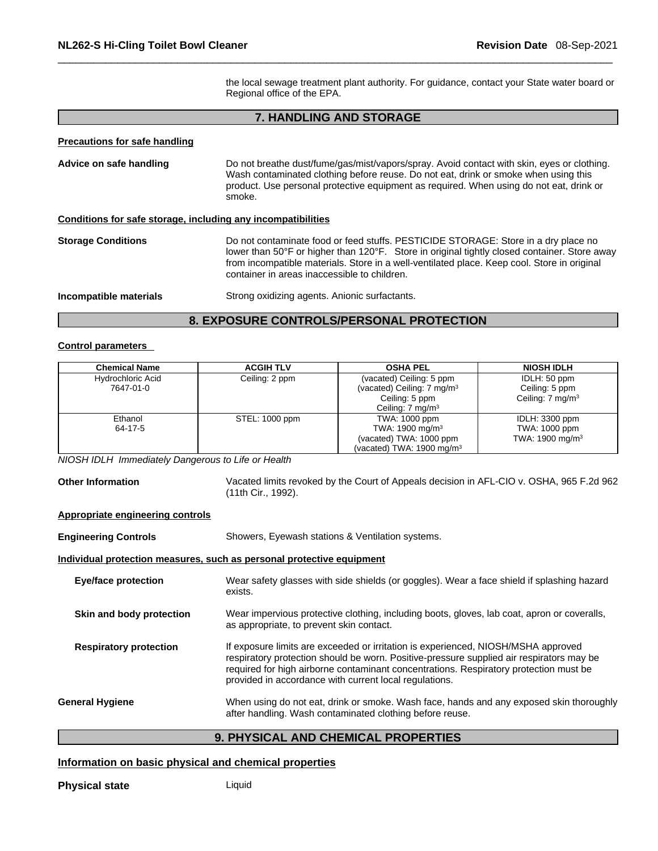the local sewage treatment plant authority. For guidance, contact your State water board or Regional office of the EPA.

# **7. HANDLING AND STORAGE**

# **Precautions for safe handling**

| Advice on safe handling                                      | Do not breathe dust/fume/gas/mist/vapors/spray. Avoid contact with skin, eyes or clothing.<br>Wash contaminated clothing before reuse. Do not eat, drink or smoke when using this<br>product. Use personal protective equipment as required. When using do not eat, drink or<br>smoke.                                            |  |
|--------------------------------------------------------------|-----------------------------------------------------------------------------------------------------------------------------------------------------------------------------------------------------------------------------------------------------------------------------------------------------------------------------------|--|
| Conditions for safe storage, including any incompatibilities |                                                                                                                                                                                                                                                                                                                                   |  |
| <b>Storage Conditions</b>                                    | Do not contaminate food or feed stuffs. PESTICIDE STORAGE: Store in a dry place no<br>lower than 50°F or higher than 120°F. Store in original tightly closed container. Store away<br>from incompatible materials. Store in a well-ventilated place. Keep cool. Store in original<br>container in areas inaccessible to children. |  |
| Incompatible materials                                       | Strong oxidizing agents. Anionic surfactants.                                                                                                                                                                                                                                                                                     |  |

# **8. EXPOSURE CONTROLS/PERSONAL PROTECTION**

#### **Control parameters**

| <b>Chemical Name</b> | <b>ACGIH TLV</b> | <b>OSHA PEL</b>                        | <b>NIOSH IDLH</b>           |
|----------------------|------------------|----------------------------------------|-----------------------------|
| Hydrochloric Acid    | Ceiling: 2 ppm   | (vacated) Ceiling: 5 ppm               | IDLH: 50 ppm                |
| 7647-01-0            |                  | (vacated) Ceiling: 7 mg/m <sup>3</sup> | Ceiling: 5 ppm              |
|                      |                  | Ceiling: 5 ppm                         | Ceiling: $7 \text{ mg/m}^3$ |
|                      |                  | Ceiling: $7 \text{ mg/m}^3$            |                             |
| Ethanol              | STEL: 1000 ppm   | TWA: 1000 ppm                          | IDLH: 3300 ppm              |
| 64-17-5              |                  | TWA: 1900 mg/m <sup>3</sup>            | TWA: 1000 ppm               |
|                      |                  | (vacated) TWA: 1000 ppm                | TWA: $1900 \text{ mg/m}^3$  |
|                      |                  | (vacated) TWA: $1900 \text{ mg/m}^3$   |                             |

*NIOSH IDLH Immediately Dangerous to Life or Health* 

**Other Information** Vacated limits revoked by the Court of Appeals decision in AFL-CIO v.OSHA, 965 F.2d 962 (11th Cir., 1992).

#### **Appropriate engineering controls**

| <b>Engineering Controls</b>                                           | Showers, Eyewash stations & Ventilation systems.                                                                                                                                                                                                                                                                                 |  |  |
|-----------------------------------------------------------------------|----------------------------------------------------------------------------------------------------------------------------------------------------------------------------------------------------------------------------------------------------------------------------------------------------------------------------------|--|--|
| Individual protection measures, such as personal protective equipment |                                                                                                                                                                                                                                                                                                                                  |  |  |
| <b>Eye/face protection</b>                                            | Wear safety glasses with side shields (or goggles). Wear a face shield if splashing hazard<br>exists.                                                                                                                                                                                                                            |  |  |
| Skin and body protection                                              | Wear impervious protective clothing, including boots, gloves, lab coat, apron or coveralls,<br>as appropriate, to prevent skin contact.                                                                                                                                                                                          |  |  |
| <b>Respiratory protection</b>                                         | If exposure limits are exceeded or irritation is experienced, NIOSH/MSHA approved<br>respiratory protection should be worn. Positive-pressure supplied air respirators may be<br>required for high airborne contaminant concentrations. Respiratory protection must be<br>provided in accordance with current local regulations. |  |  |
| <b>General Hygiene</b>                                                | When using do not eat, drink or smoke. Wash face, hands and any exposed skin thoroughly<br>after handling. Wash contaminated clothing before reuse.                                                                                                                                                                              |  |  |

# **9. PHYSICAL AND CHEMICAL PROPERTIES**

# **Information on basic physical and chemical properties**

**Physical state** Liquid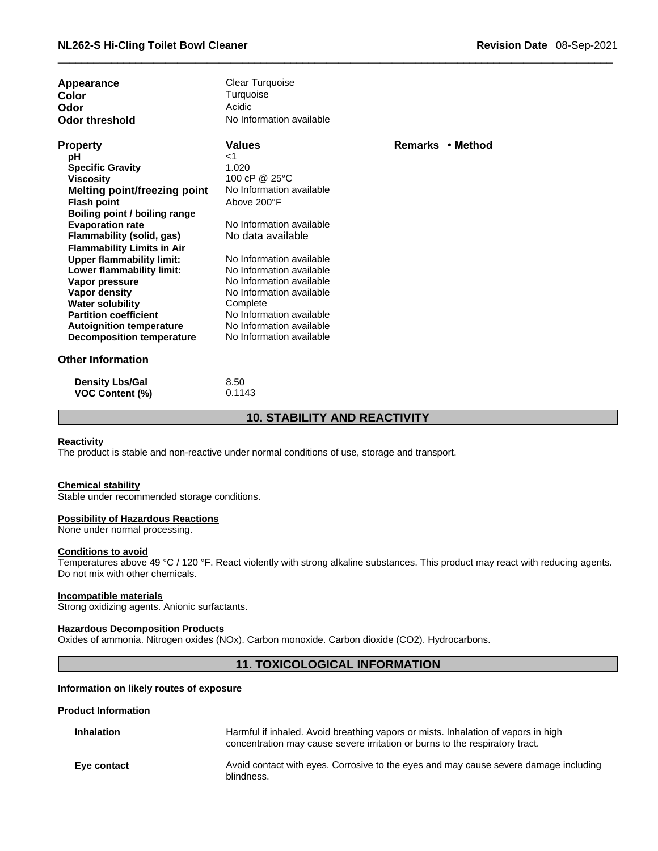| Revision Date 08-Sep-2021 |  |  |  |
|---------------------------|--|--|--|
|---------------------------|--|--|--|

| Appearance<br>Color<br>Odor<br>Odor threshold | <b>Clear Turquoise</b><br>Turquoise<br>Acidic<br>No Information available |                |  |
|-----------------------------------------------|---------------------------------------------------------------------------|----------------|--|
| <b>Property</b>                               | <b>Values</b>                                                             | <b>Remarks</b> |  |
| рH                                            | ا>                                                                        |                |  |
| <b>Specific Gravity</b>                       | 1.020                                                                     |                |  |
| <b>Viscosity</b>                              | 100 cP @ $25^{\circ}$ C                                                   |                |  |
| <b>Melting point/freezing point</b>           | No Information available                                                  |                |  |

**Remarks • Method** 

| <b>Density Lbs/Gal</b> | 8.50   |
|------------------------|--------|
| <b>VOC Content (%)</b> | 0.1143 |

**Water solubility** Complete

**Flash point** Above 200°F

**Flammability Limits in Air Upper flammability limit:** No Information available<br> **Lower flammability limit:** No Information available

**Vapor pressure** No Information available **Vapor density No Information available** 

**Partition coefficient**<br> **Autoignition temperature**<br>
No Information available **Autoignition temperature** No Information available<br> **Decomposition temperature** No Information available

**Boiling point / boiling range**

**Flammability** (solid, gas)

**Lower flammability limit:** 

**Decomposition temperature** 

# **10. STABILITY AND REACTIVITY**

#### **Reactivity**

The product is stable and non-reactive under normal conditions of use, storage and transport.

No Information available<br>No data available

#### **Chemical stability**

Stable under recommended storage conditions.

#### **Possibility of Hazardous Reactions**

None under normal processing.

### **Conditions to avoid**

Temperatures above 49 °C / 120 °F. React violently with strong alkaline substances. This product may react with reducing agents. Do not mix with other chemicals.

#### **Incompatible materials**

Strong oxidizing agents. Anionic surfactants.

#### **Hazardous Decomposition Products**

Oxides of ammonia. Nitrogen oxides (NOx). Carbon monoxide. Carbon dioxide (CO2). Hydrocarbons.

# **11. TOXICOLOGICAL INFORMATION**

#### **Information on likely routes of exposure**

#### **Product Information**

| <b>Inhalation</b> | Harmful if inhaled. Avoid breathing vapors or mists. Inhalation of vapors in high<br>concentration may cause severe irritation or burns to the respiratory tract. |
|-------------------|-------------------------------------------------------------------------------------------------------------------------------------------------------------------|
| Eye contact       | Avoid contact with eyes. Corrosive to the eyes and may cause severe damage including<br>blindness.                                                                |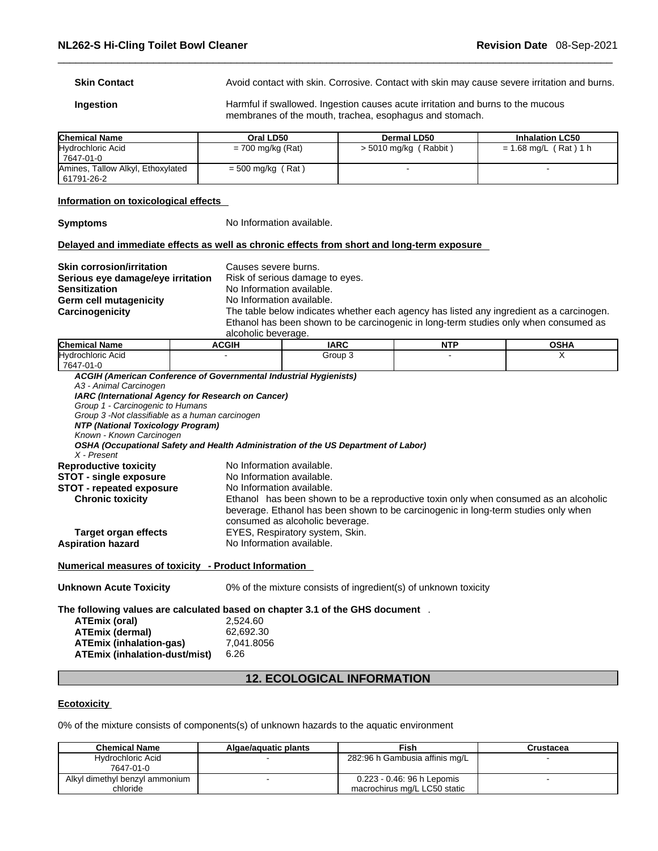| <b>Skin Contact</b> | Avoid contact with skin. Corrosive. Contact with skin may cause severe irritation and burns. |
|---------------------|----------------------------------------------------------------------------------------------|
|                     |                                                                                              |

**Ingestion Harmful if swallowed. Ingestion causes acute irritation and burns to the mucous** membranes of the mouth, trachea, esophagus and stomach.

| <b>Chemical Name</b>                              | Oral LD50           | Dermal LD50             | <b>Inhalation LC50</b> |
|---------------------------------------------------|---------------------|-------------------------|------------------------|
| Hydrochloric Acid<br>' 7647-01-0                  | = 700 mg/kg (Rat)   | $>$ 5010 mg/kg (Rabbit) | = 1.68 mg/L (Rat) 1 h  |
| Amines, Tallow Alkyl, Ethoxylated<br>  61791-26-2 | $=$ 500 mg/kg (Rat) |                         |                        |

#### **Information on toxicological effects**

**Symptoms** No Information available.

#### **Delayed and immediate effects as well as chronic effects from short and long-term exposure**

| <b>Skin corrosion/irritation</b><br>Serious eye damage/eye irritation<br><b>Sensitization</b><br>Germ cell mutagenicity |                     | Causes severe burns.<br>Risk of serious damage to eyes.<br>No Information available.<br>No Information available.                                                                |                      |       |  |
|-------------------------------------------------------------------------------------------------------------------------|---------------------|----------------------------------------------------------------------------------------------------------------------------------------------------------------------------------|----------------------|-------|--|
| Carcinogenicity                                                                                                         |                     | The table below indicates whether each agency has listed any ingredient as a carcinogen.<br>Ethanol has been shown to be carcinogenic in long-term studies only when consumed as |                      |       |  |
|                                                                                                                         | alcoholic beverage. |                                                                                                                                                                                  |                      |       |  |
| . .                                                                                                                     | .                   | $\cdots$                                                                                                                                                                         | $\sim$ $\sim$ $\sim$ | ----- |  |

|                                                                   | <b>ACGIH</b>                                                                         | <b>IARC</b>                                                                        | <b>NTP</b> | <b>OSHA</b> |  |
|-------------------------------------------------------------------|--------------------------------------------------------------------------------------|------------------------------------------------------------------------------------|------------|-------------|--|
| Hydrochloric Acid                                                 |                                                                                      | Group 3                                                                            |            | X           |  |
| 7647-01-0                                                         |                                                                                      |                                                                                    |            |             |  |
| ACGIH (American Conference of Governmental Industrial Hygienists) |                                                                                      |                                                                                    |            |             |  |
| A3 - Animal Carcinogen                                            |                                                                                      |                                                                                    |            |             |  |
| IARC (International Agency for Research on Cancer)                |                                                                                      |                                                                                    |            |             |  |
| Group 1 - Carcinogenic to Humans                                  |                                                                                      |                                                                                    |            |             |  |
| Group 3 - Not classifiable as a human carcinogen                  |                                                                                      |                                                                                    |            |             |  |
| NTP (National Toxicology Program)                                 |                                                                                      |                                                                                    |            |             |  |
| Known - Known Carcinogen                                          |                                                                                      |                                                                                    |            |             |  |
|                                                                   |                                                                                      | OSHA (Occupational Safety and Health Administration of the US Department of Labor) |            |             |  |
| X - Present                                                       |                                                                                      |                                                                                    |            |             |  |
| <b>Reproductive toxicity</b>                                      |                                                                                      | No Information available.                                                          |            |             |  |
| <b>STOT - single exposure</b>                                     |                                                                                      | No Information available.                                                          |            |             |  |
| <b>STOT - repeated exposure</b>                                   | No Information available.                                                            |                                                                                    |            |             |  |
| <b>Chronic toxicity</b>                                           | Ethanol has been shown to be a reproductive toxin only when consumed as an alcoholic |                                                                                    |            |             |  |
|                                                                   |                                                                                      | beverage. Ethanol has been shown to be carcinogenic in long-term studies only when |            |             |  |
|                                                                   |                                                                                      | consumed as alcoholic beverage.                                                    |            |             |  |
| <b>Target organ effects</b>                                       |                                                                                      | EYES, Respiratory system, Skin.                                                    |            |             |  |
| <b>Aspiration hazard</b>                                          |                                                                                      | No Information available.                                                          |            |             |  |

# **Numerical measures of toxicity - Product Information**

| <b>Unknown Acute Toxicity</b>        | 0% of the mixture consists of ingredient(s) of unknown toxicity              |
|--------------------------------------|------------------------------------------------------------------------------|
|                                      | The following values are calculated based on chapter 3.1 of the GHS document |
| ATEmix (oral)                        | 2.524.60                                                                     |
| <b>ATEmix (dermal)</b>               | 62.692.30                                                                    |
| <b>ATEmix (inhalation-gas)</b>       | 7.041.8056                                                                   |
| <b>ATEmix (inhalation-dust/mist)</b> | 6.26                                                                         |

# **12. ECOLOGICAL INFORMATION**

# **Ecotoxicity**

0% of the mixture consists of components(s) of unknown hazards to the aquatic environment

| <b>Chemical Name</b>                       | Algae/aguatic plants | Fish                                                       | Crustacea |
|--------------------------------------------|----------------------|------------------------------------------------------------|-----------|
| Hydrochloric Acid<br>7647-01-0             |                      | 282:96 h Gambusia affinis mg/L                             |           |
| Alkyl dimethyl benzyl ammonium<br>chloride |                      | 0.223 - 0.46: 96 h Lepomis<br>macrochirus mg/L LC50 static |           |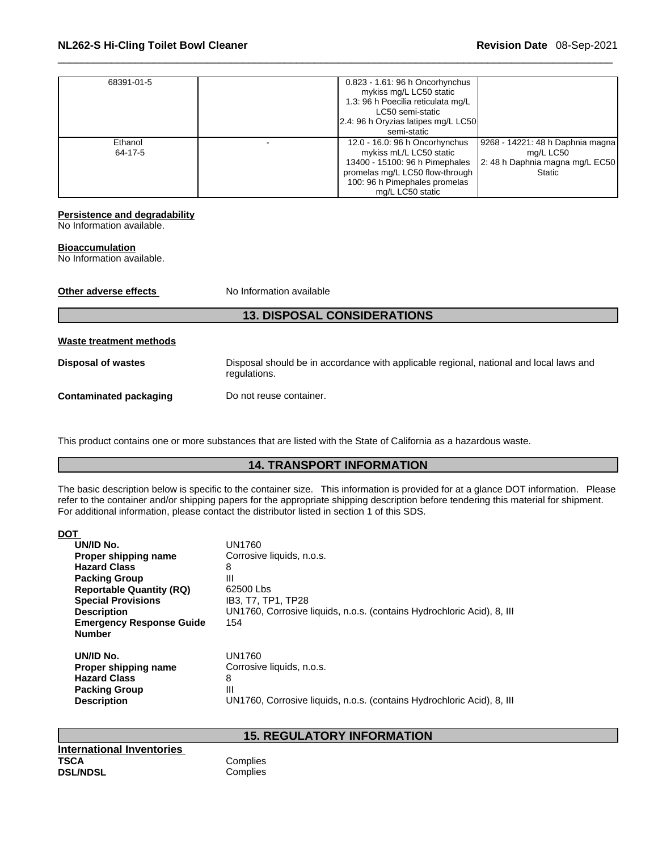| 68391-01-5         | 0.823 - 1.61: 96 h Oncorhynchus<br>mykiss mg/L LC50 static<br>1.3: 96 h Poecilia reticulata mg/L<br>LC50 semi-static<br>2.4: 96 h Oryzias latipes mg/L LC50<br>semi-static          |                                                                                             |
|--------------------|-------------------------------------------------------------------------------------------------------------------------------------------------------------------------------------|---------------------------------------------------------------------------------------------|
| Ethanol<br>64-17-5 | 12.0 - 16.0: 96 h Oncorhynchus<br>mykiss mL/L LC50 static<br>13400 - 15100: 96 h Pimephales<br>promelas mg/L LC50 flow-through<br>100: 96 h Pimephales promelas<br>mg/L LC50 static | 19268 - 14221: 48 h Daphnia magna<br>mg/L LC50<br>2: 48 h Daphnia magna mg/L EC50<br>Static |

#### **Persistence and degradability**

No Information available.

#### **Bioaccumulation**

No Information available.

| Other adverse effects         | No Information available                                                                               |
|-------------------------------|--------------------------------------------------------------------------------------------------------|
|                               | <b>13. DISPOSAL CONSIDERATIONS</b>                                                                     |
| Waste treatment methods       |                                                                                                        |
| <b>Disposal of wastes</b>     | Disposal should be in accordance with applicable regional, national and local laws and<br>regulations. |
| <b>Contaminated packaging</b> | Do not reuse container.                                                                                |

This product contains one or more substances that are listed with the State of California as a hazardous waste.

# **14. TRANSPORT INFORMATION**

The basic description below is specific to the container size. This information is provided for at a glance DOT information. Please refer to the container and/or shipping papers for the appropriate shipping description before tendering this material for shipment. For additional information, please contact the distributor listed in section 1 of this SDS.

| <b>DOT</b>                      |                                                                        |
|---------------------------------|------------------------------------------------------------------------|
| UN/ID No.                       | UN1760                                                                 |
| Proper shipping name            | Corrosive liquids, n.o.s.                                              |
| <b>Hazard Class</b>             | 8                                                                      |
| <b>Packing Group</b>            | Ш                                                                      |
| <b>Reportable Quantity (RQ)</b> | 62500 Lbs                                                              |
| <b>Special Provisions</b>       | IB3, T7, TP1, TP28                                                     |
| <b>Description</b>              | UN1760, Corrosive liquids, n.o.s. (contains Hydrochloric Acid), 8, III |
| <b>Emergency Response Guide</b> | 154                                                                    |
| <b>Number</b>                   |                                                                        |
| UN/ID No.                       | UN1760                                                                 |
| Proper shipping name            | Corrosive liquids, n.o.s.                                              |
| <b>Hazard Class</b>             | 8                                                                      |
| <b>Packing Group</b>            | Ш                                                                      |
| <b>Description</b>              | UN1760, Corrosive liquids, n.o.s. (contains Hydrochloric Acid), 8, III |
|                                 |                                                                        |

**International Inventories TSCA** Complies<br> **DSL/NDSL** Complies

# **15. REGULATORY INFORMATION**

Complies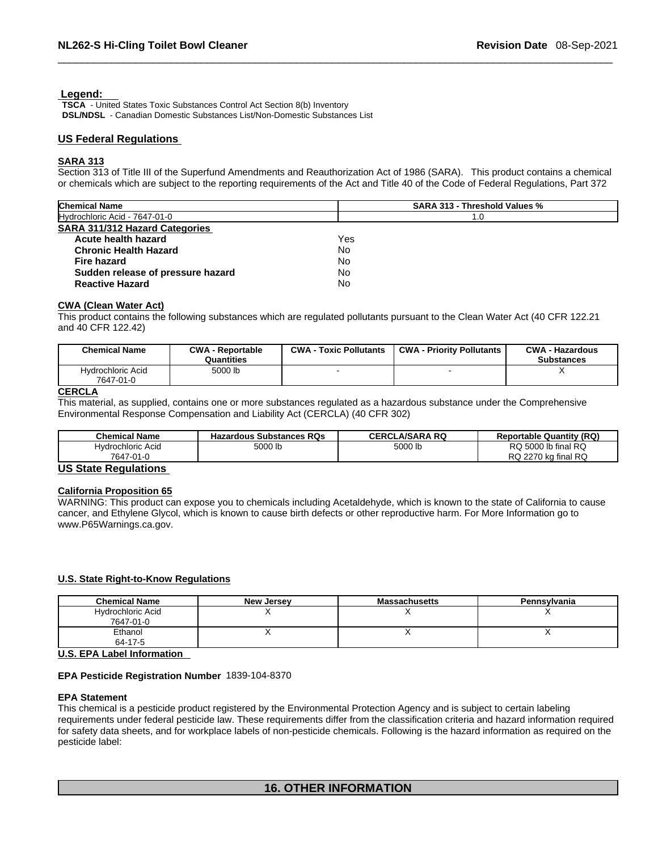#### **Legend:**

**TSCA** - United States Toxic Substances Control Act Section 8(b) Inventory **DSL/NDSL** - Canadian Domestic Substances List/Non-Domestic Substances List

#### **US Federal Regulations**

#### **SARA 313**

Section 313 of Title III of the Superfund Amendments and Reauthorization Act of 1986 (SARA). This product contains a chemical or chemicals which are subject to the reporting requirements of the Act and Title 40 of the Code of Federal Regulations, Part 372

| <b>Chemical Name</b>                  | <b>SARA 313 - Threshold Values %</b> |
|---------------------------------------|--------------------------------------|
| Hydrochloric Acid - 7647-01-0         | 1.0                                  |
| <b>SARA 311/312 Hazard Categories</b> |                                      |
| Acute health hazard                   | Yes                                  |
| <b>Chronic Health Hazard</b>          | No.                                  |
| Fire hazard                           | No                                   |
| Sudden release of pressure hazard     | No                                   |
| <b>Reactive Hazard</b>                | No                                   |

#### **CWA (Clean WaterAct)**

This product contains the following substances which are regulated pollutants pursuant to the Clean Water Act (40 CFR 122.21 and 40 CFR 122.42)

| <b>Chemical Name</b>           | <b>CWA - Reportable</b><br>Quantities | <b>CWA - Toxic Pollutants</b> | <b>CWA - Priority Pollutants</b> | <b>CWA - Hazardous</b><br><b>Substances</b> |
|--------------------------------|---------------------------------------|-------------------------------|----------------------------------|---------------------------------------------|
| Hydrochloric Acid<br>7647-01-0 | 5000 lb                               |                               |                                  |                                             |

# **CERCLA**

This material, as supplied, contains one or more substances regulated as a hazardous substance under the Comprehensive Environmental Response Compensation and Liability Act (CERCLA) (40 CFR 302)

| <b>Chemical Name</b> | <b>Hazardous Substances RQs</b> | <b>CERCLA/SARA RQ</b> | <b>Reportable Quantity (RQ)</b> |
|----------------------|---------------------------------|-----------------------|---------------------------------|
| Hvdrochloric Acid    | 5000 lb                         | 5000 lb               | RQ 5000 lb final RQ             |
| 7647-01-0            |                                 |                       | RQ 2270 kg final RQ             |

# **US State Regulations**

#### **California Proposition 65**

WARNING: This product can expose you to chemicals including Acetaldehyde, which is known to the state of California to cause cancer, and Ethylene Glycol, which is known to cause birth defects or other reproductive harm. For More Information go to www.P65Warnings.ca.gov.

#### **U.S. State Right-to-Know Regulations**

| <b>Chemical Name</b>                            | <b>New Jersey</b> | <b>Massachusetts</b> | Pennsylvania |
|-------------------------------------------------|-------------------|----------------------|--------------|
| Hydrochloric Acid                               |                   |                      |              |
| 7647-01-0                                       |                   |                      |              |
| Ethanol                                         |                   |                      |              |
| 64-17-5                                         |                   |                      |              |
| $\cdots$ $\sim$ $\sim$ $\cdots$ $\sim$ $\cdots$ |                   |                      |              |

#### **U.S. EPA Label Information**

#### **EPA Pesticide Registration Number** 1839-104-8370

#### **EPA Statement**

This chemical is a pesticide product registered by the Environmental Protection Agency and is subject to certain labeling requirements under federal pesticide law. These requirements differ from the classification criteria and hazard information required for safety data sheets, and for workplace labels of non-pesticide chemicals. Following is the hazard information as required on the pesticide label:

## **16. OTHER INFORMATION**